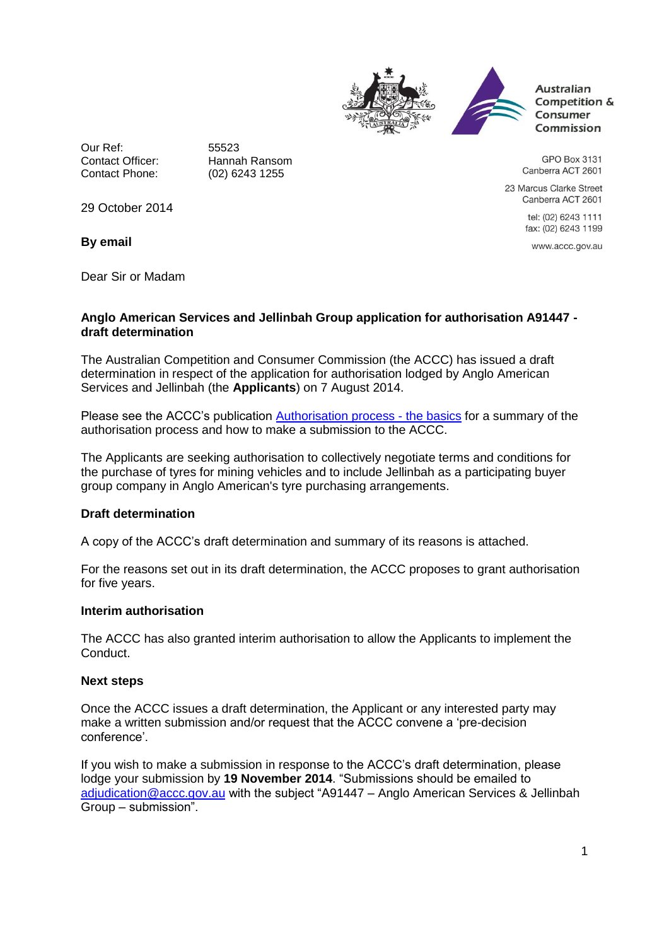



**Australian** Competition & Consumer Commission

GPO Box 3131 Canberra ACT 2601

23 Marcus Clarke Street Canberra ACT 2601

> tel: (02) 6243 1111 fax: (02) 6243 1199

www.accc.gov.au

Our Ref: 55523 Contact Officer: Hannah Ransom<br>Contact Phone: (02) 6243 1255

(02) 6243 1255

29 October 2014

**By email**

Dear Sir or Madam

### **Anglo American Services and Jellinbah Group application for authorisation A91447 draft determination**

The Australian Competition and Consumer Commission (the ACCC) has issued a draft determination in respect of the application for authorisation lodged by Anglo American Services and Jellinbah (the **Applicants**) on 7 August 2014.

Please see the ACCC's publication [Authorisation process -](http://www.accc.gov.au/publications/authorisation-process-the-basics) the basics for a summary of the authorisation process and how to make a submission to the ACCC.

The Applicants are seeking authorisation to collectively negotiate terms and conditions for the purchase of tyres for mining vehicles and to include Jellinbah as a participating buyer group company in Anglo American's tyre purchasing arrangements.

# **Draft determination**

A copy of the ACCC's draft determination and summary of its reasons is attached.

For the reasons set out in its draft determination, the ACCC proposes to grant authorisation for five years.

#### **Interim authorisation**

The ACCC has also granted interim authorisation to allow the Applicants to implement the Conduct.

#### **Next steps**

Once the ACCC issues a draft determination, the Applicant or any interested party may make a written submission and/or request that the ACCC convene a 'pre-decision conference'.

If you wish to make a submission in response to the ACCC's draft determination, please lodge your submission by **19 November 2014**. "Submissions should be emailed to [adjudication@accc.gov.au](mailto:adjudication@accc.gov.au) with the subject "A91447 – Anglo American Services & Jellinbah Group – submission".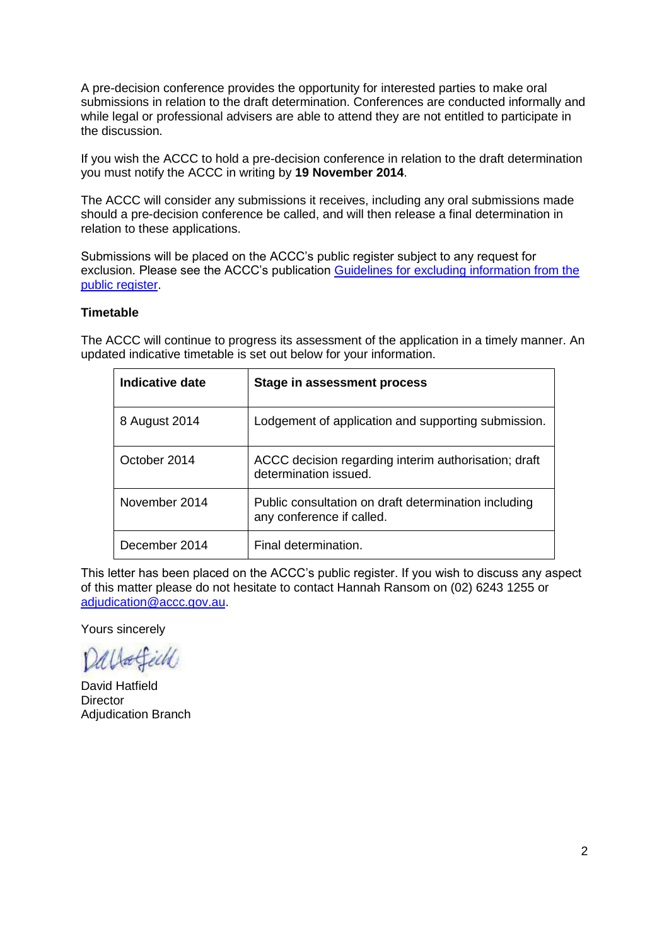A pre-decision conference provides the opportunity for interested parties to make oral submissions in relation to the draft determination. Conferences are conducted informally and while legal or professional advisers are able to attend they are not entitled to participate in the discussion.

If you wish the ACCC to hold a pre-decision conference in relation to the draft determination you must notify the ACCC in writing by **19 November 2014**.

The ACCC will consider any submissions it receives, including any oral submissions made should a pre-decision conference be called, and will then release a final determination in relation to these applications.

Submissions will be placed on the ACCC's public register subject to any request for exclusion. Please see the ACCC's publication [Guidelines for excluding information from the](http://www.accc.gov.au/publications/guidelines-for-excluding-information-from-the-public-register-for-authorisation-and-notification-processes)  [public register.](http://www.accc.gov.au/publications/guidelines-for-excluding-information-from-the-public-register-for-authorisation-and-notification-processes)

#### **Timetable**

The ACCC will continue to progress its assessment of the application in a timely manner. An updated indicative timetable is set out below for your information.

| Indicative date | Stage in assessment process                                                       |
|-----------------|-----------------------------------------------------------------------------------|
| 8 August 2014   | Lodgement of application and supporting submission.                               |
| October 2014    | ACCC decision regarding interim authorisation; draft<br>determination issued.     |
| November 2014   | Public consultation on draft determination including<br>any conference if called. |
| December 2014   | Final determination.                                                              |

This letter has been placed on the ACCC's public register. If you wish to discuss any aspect of this matter please do not hesitate to contact Hannah Ransom on (02) 6243 1255 or [adjudication@accc.gov.au.](mailto:adjudication@accc.gov.au)

Yours sincerely

Dallateich

David Hatfield **Director** Adjudication Branch